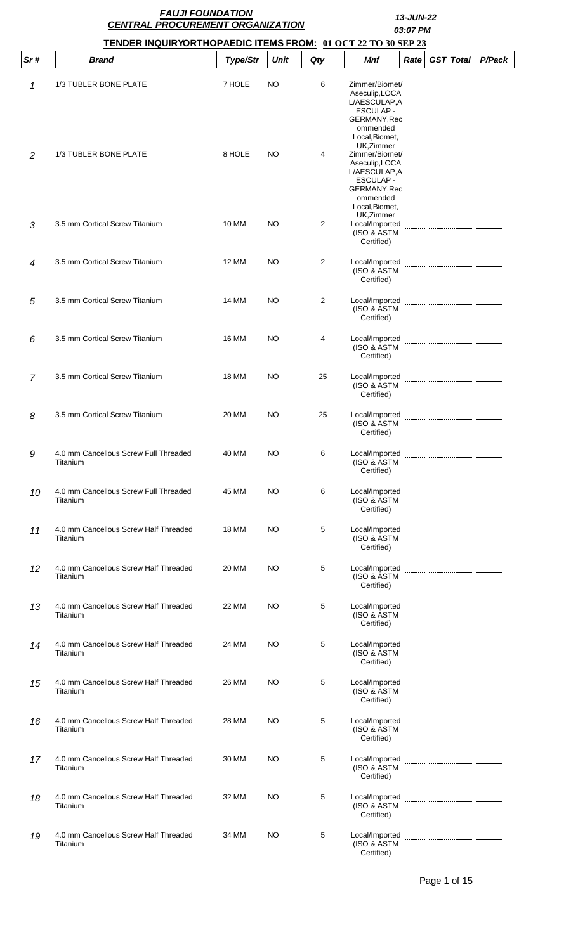|     | <b>FAUJI FOUNDATION</b><br><b>CENTRAL PROCUREMENT ORGANIZATION</b> |                 |             |                | 13-JUN-22<br>03:07 PM                                                                                                                                                                                                                                             |  |  |  |                       |
|-----|--------------------------------------------------------------------|-----------------|-------------|----------------|-------------------------------------------------------------------------------------------------------------------------------------------------------------------------------------------------------------------------------------------------------------------|--|--|--|-----------------------|
|     | TENDER INQUIRYORTHOPAEDIC ITEMS FROM: 01 OCT 22 TO 30 SEP 23       |                 |             |                |                                                                                                                                                                                                                                                                   |  |  |  |                       |
| Sr# | <b>Brand</b>                                                       | <b>Type/Str</b> | <b>Unit</b> | Qty            | <b>Mnf</b>                                                                                                                                                                                                                                                        |  |  |  | Rate GST Total P/Pack |
| 1   | 1/3 TUBLER BONE PLATE                                              | 7 HOLE          | NO          | 6              | Zimmer/Biomet/<br>Aseculip, LOCA<br>L/AESCULAP,A<br>ESCULAP -<br>GERMANY, Rec<br>ommended                                                                                                                                                                         |  |  |  |                       |
| 2   | 1/3 TUBLER BONE PLATE                                              | 8 HOLE          | NO.         | 4              | Local, Biomet,<br>UK, Zimmer<br>Aseculip, LOCA<br>L/AESCULAP,A<br><b>ESCULAP -</b><br>GERMANY, Rec<br>ommended<br>Local, Biomet,                                                                                                                                  |  |  |  |                       |
| 3   | 3.5 mm Cortical Screw Titanium                                     | 10 MM           | NO.         | $\overline{2}$ | UK, Zimmer<br>Local/Imported<br>(ISO & ASTM<br>Certified)                                                                                                                                                                                                         |  |  |  |                       |
| 4   | 3.5 mm Cortical Screw Titanium                                     | <b>12 MM</b>    | NO          | $\overline{2}$ | Local/Imported<br>(ISO & ASTM<br>Certified)                                                                                                                                                                                                                       |  |  |  |                       |
| 5   | 3.5 mm Cortical Screw Titanium                                     | 14 MM           | NO.         | 2              | (ISO & ASTM<br>Certified)                                                                                                                                                                                                                                         |  |  |  |                       |
| 6   | 3.5 mm Cortical Screw Titanium                                     | <b>16 MM</b>    | NO          | 4              | Local/Imported<br>(ISO & ASTM<br>Certified)                                                                                                                                                                                                                       |  |  |  |                       |
| 7   | 3.5 mm Cortical Screw Titanium                                     | <b>18 MM</b>    | NO.         | 25             | Local/Imported<br>(ISO & ASTM<br>Certified)                                                                                                                                                                                                                       |  |  |  |                       |
| 8   | 3.5 mm Cortical Screw Titanium                                     | 20 MM           | NO          | 25             | Local/Imported<br>(ISO & ASTM<br>Certified)                                                                                                                                                                                                                       |  |  |  |                       |
| 9   | 4.0 mm Cancellous Screw Full Threaded<br>Titanium                  | 40 MM           | NO          | 6              | Local/Imported<br>(ISO & ASTM<br>Certified)                                                                                                                                                                                                                       |  |  |  |                       |
| 10  | 4.0 mm Cancellous Screw Full Threaded<br>Titanium                  | 45 MM           | NO          | 6              | (ISO & ASTM<br>Certified)                                                                                                                                                                                                                                         |  |  |  |                       |
| 11  | 4.0 mm Cancellous Screw Half Threaded<br>Titanium                  | <b>18 MM</b>    | NO.         | 5              | Local/Imported<br>(ISO & ASTM<br>Certified)                                                                                                                                                                                                                       |  |  |  |                       |
| 12  | 4.0 mm Cancellous Screw Half Threaded<br>Titanium                  | 20 MM           | NO.         | 5              | Local/Imported<br>(ISO & ASTM<br>Certified)                                                                                                                                                                                                                       |  |  |  |                       |
| 13  | 4.0 mm Cancellous Screw Half Threaded<br>Titanium                  | 22 MM           | NO          | 5              | (ISO & ASTM<br>Certified)                                                                                                                                                                                                                                         |  |  |  |                       |
| 14  | 4.0 mm Cancellous Screw Half Threaded<br>Titanium                  | 24 MM           | NO          | 5              | Local/Imported<br>(ISO & ASTM<br>Certified)                                                                                                                                                                                                                       |  |  |  |                       |
| 15  | 4.0 mm Cancellous Screw Half Threaded<br>Titanium                  | 26 MM           | NO.         | 5              | (ISO & ASTM<br>Certified)                                                                                                                                                                                                                                         |  |  |  |                       |
| 16  | 4.0 mm Cancellous Screw Half Threaded<br>Titanium                  | 28 MM           | NO.         | 5              | Local/Imported<br>(ISO & ASTM<br>Certified)                                                                                                                                                                                                                       |  |  |  |                       |
| 17  | 4.0 mm Cancellous Screw Half Threaded<br>Titanium                  | 30 MM           | NO.         | 5              | Local/Imported <b>with the control of the control of the control of the control of the control of the control of the control of the control of the control of the control of the control of the control of the control of the co</b><br>(ISO & ASTM<br>Certified) |  |  |  |                       |
| 18  | 4.0 mm Cancellous Screw Half Threaded<br>Titanium                  | 32 MM           | NO          | 5              | Local/Imported<br>(ISO & ASTM<br>Certified)                                                                                                                                                                                                                       |  |  |  |                       |
| 19  | 4.0 mm Cancellous Screw Half Threaded<br>Titanium                  | 34 MM           | NO.         | 5              | Local/Imported<br>(ISO & ASTM<br>Certified)                                                                                                                                                                                                                       |  |  |  |                       |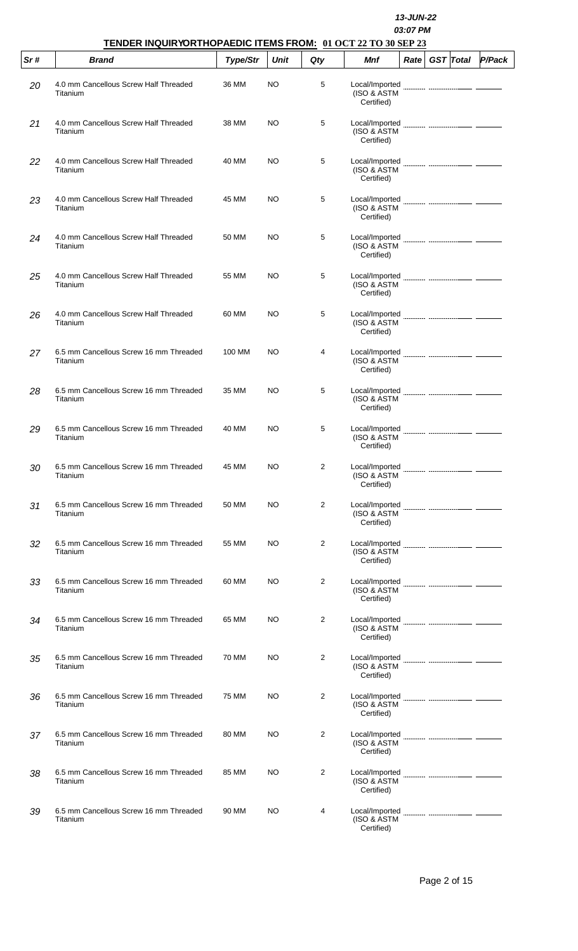|     |                                                    | 13-JUN-22<br>03:07 PM<br>TENDER INQUIRYORTHOPAEDIC ITEMS FROM: 01 OCT 22 TO 30 SEP 23 |             |     |                                             |      |  |                  |        |  |  |
|-----|----------------------------------------------------|---------------------------------------------------------------------------------------|-------------|-----|---------------------------------------------|------|--|------------------|--------|--|--|
| Sr# | <b>Brand</b>                                       | Type/Str                                                                              | <b>Unit</b> | Qty | <b>Mnf</b>                                  | Rate |  | <b>GST</b> Total | P/Pack |  |  |
| 20  | 4.0 mm Cancellous Screw Half Threaded<br>Titanium  | 36 MM                                                                                 | <b>NO</b>   | 5   | Local/Imported<br>(ISO & ASTM<br>Certified) |      |  |                  |        |  |  |
| 21  | 4.0 mm Cancellous Screw Half Threaded<br>Titanium  | 38 MM                                                                                 | NO.         | 5   | Local/Imported<br>(ISO & ASTM<br>Certified) |      |  |                  |        |  |  |
| 22  | 4.0 mm Cancellous Screw Half Threaded<br>Titanium  | 40 MM                                                                                 | NO.         | 5   | (ISO & ASTM<br>Certified)                   |      |  |                  |        |  |  |
| 23  | 4.0 mm Cancellous Screw Half Threaded<br>Titanium  | 45 MM                                                                                 | <b>NO</b>   | 5   | Local/Imported<br>(ISO & ASTM<br>Certified) |      |  |                  |        |  |  |
| 24  | 4.0 mm Cancellous Screw Half Threaded<br>Titanium  | 50 MM                                                                                 | NO.         | 5   | Local/Imported<br>(ISO & ASTM<br>Certified) |      |  |                  |        |  |  |
| 25  | 4.0 mm Cancellous Screw Half Threaded<br>Titanium  | 55 MM                                                                                 | NO.         | 5   | (ISO & ASTM<br>Certified)                   |      |  |                  |        |  |  |
| 26  | 4.0 mm Cancellous Screw Half Threaded<br>Titanium  | 60 MM                                                                                 | NO.         | 5   | Local/Imported<br>(ISO & ASTM<br>Certified) |      |  |                  |        |  |  |
| 27  | 6.5 mm Cancellous Screw 16 mm Threaded<br>Titanium | 100 MM                                                                                | NO.         | 4   | Local/Imported<br>(ISO & ASTM<br>Certified) |      |  |                  |        |  |  |
| 28  | 6.5 mm Cancellous Screw 16 mm Threaded<br>Titanium | 35 MM                                                                                 | <b>NO</b>   | 5   | Local/Imported<br>(ISO & ASTM<br>Certified) |      |  |                  |        |  |  |
| 29  | 6.5 mm Cancellous Screw 16 mm Threaded<br>Titanium | 40 MM                                                                                 | NO.         | 5   | Local/Imported<br>(ISO & ASTM<br>Certified) |      |  |                  |        |  |  |
| 30  | 6.5 mm Cancellous Screw 16 mm Threaded<br>Titanium | 45 MM                                                                                 | NO.         | 2   | Local/Imported<br>(ISO & ASTM<br>Certified) |      |  |                  |        |  |  |
| 31  | 6.5 mm Cancellous Screw 16 mm Threaded<br>Titanium | 50 MM                                                                                 | NO.         | 2   | (ISO & ASTM<br>Certified)                   |      |  |                  |        |  |  |
| 32  | 6.5 mm Cancellous Screw 16 mm Threaded<br>Titanium | 55 MM                                                                                 | NO.         | 2   | Local/Imported<br>(ISO & ASTM<br>Certified) |      |  |                  |        |  |  |
| 33  | 6.5 mm Cancellous Screw 16 mm Threaded<br>Titanium | 60 MM                                                                                 | NO.         | 2   | (ISO & ASTM<br>Certified)                   |      |  |                  |        |  |  |
| 34  | 6.5 mm Cancellous Screw 16 mm Threaded<br>Titanium | 65 MM                                                                                 | NO.         | 2   | Local/Imported<br>(ISO & ASTM<br>Certified) |      |  |                  |        |  |  |
| 35  | 6.5 mm Cancellous Screw 16 mm Threaded<br>Titanium | 70 MM                                                                                 | NO.         | 2   | Local/Imported<br>(ISO & ASTM<br>Certified) |      |  |                  |        |  |  |
| 36  | 6.5 mm Cancellous Screw 16 mm Threaded<br>Titanium | 75 MM                                                                                 | NO.         | 2   | Local/Imported<br>(ISO & ASTM<br>Certified) |      |  |                  |        |  |  |
| 37  | 6.5 mm Cancellous Screw 16 mm Threaded<br>Titanium | 80 MM                                                                                 | NO.         | 2   | (ISO & ASTM<br>Certified)                   |      |  |                  |        |  |  |
| 38  | 6.5 mm Cancellous Screw 16 mm Threaded<br>Titanium | 85 MM                                                                                 | NO.         | 2   | Local/Imported<br>(ISO & ASTM<br>Certified) |      |  |                  |        |  |  |
| 39  | 6.5 mm Cancellous Screw 16 mm Threaded<br>Titanium | 90 MM                                                                                 | NO          | 4   | Local/Imported<br>(ISO & ASTM<br>Certified) |      |  |                  |        |  |  |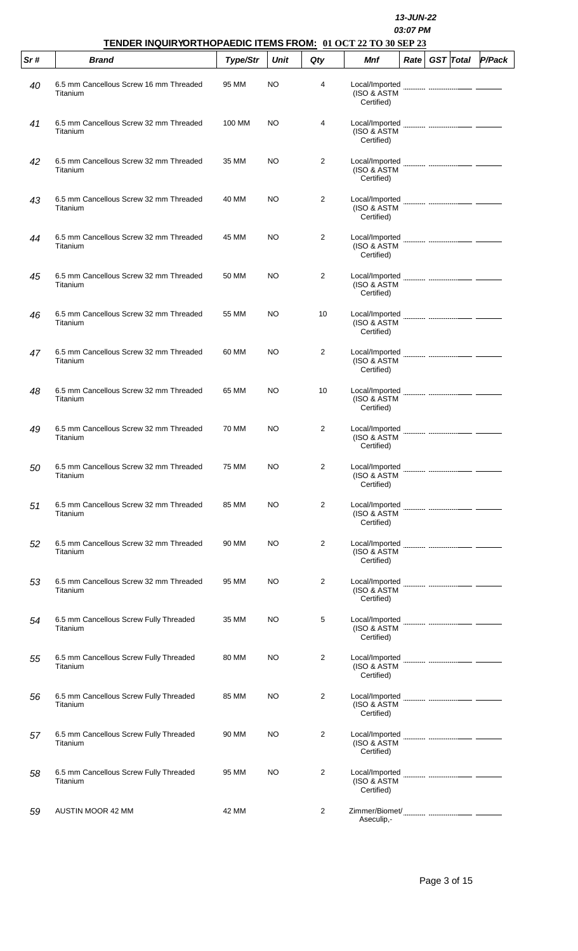|     |                                                    | 13-JUN-22<br>03:07 PM<br>TENDER INQUIRYORTHOPAEDIC ITEMS FROM: 01 OCT 22 TO 30 SEP 23 |             |                |                                             |      |                  |        |  |  |  |
|-----|----------------------------------------------------|---------------------------------------------------------------------------------------|-------------|----------------|---------------------------------------------|------|------------------|--------|--|--|--|
| Sr# | <b>Brand</b>                                       | Type/Str                                                                              | <b>Unit</b> | Qty            | <b>Mnf</b>                                  | Rate | <b>GST</b> Total | P/Pack |  |  |  |
| 40  | 6.5 mm Cancellous Screw 16 mm Threaded<br>Titanium | 95 MM                                                                                 | NO          | 4              | Local/Imported<br>(ISO & ASTM<br>Certified) |      |                  |        |  |  |  |
| 41  | 6.5 mm Cancellous Screw 32 mm Threaded<br>Titanium | 100 MM                                                                                | NO          | 4              | Local/Imported<br>(ISO & ASTM<br>Certified) |      |                  |        |  |  |  |
| 42  | 6.5 mm Cancellous Screw 32 mm Threaded<br>Titanium | 35 MM                                                                                 | NO          | 2              | Local/Imported<br>(ISO & ASTM<br>Certified) |      |                  |        |  |  |  |
| 43  | 6.5 mm Cancellous Screw 32 mm Threaded<br>Titanium | 40 MM                                                                                 | NO          | $\overline{2}$ | Local/Imported<br>(ISO & ASTM<br>Certified) |      |                  |        |  |  |  |
| 44  | 6.5 mm Cancellous Screw 32 mm Threaded<br>Titanium | 45 MM                                                                                 | NO          | $\overline{2}$ | Local/Imported<br>(ISO & ASTM<br>Certified) |      |                  |        |  |  |  |
| 45  | 6.5 mm Cancellous Screw 32 mm Threaded<br>Titanium | 50 MM                                                                                 | <b>NO</b>   | 2              | Local/Imported<br>(ISO & ASTM<br>Certified) |      |                  |        |  |  |  |
| 46  | 6.5 mm Cancellous Screw 32 mm Threaded<br>Titanium | 55 MM                                                                                 | NO          | 10             | Local/Imported<br>(ISO & ASTM<br>Certified) |      |                  |        |  |  |  |
| 47  | 6.5 mm Cancellous Screw 32 mm Threaded<br>Titanium | 60 MM                                                                                 | <b>NO</b>   | 2              | Local/Imported<br>(ISO & ASTM<br>Certified) |      |                  |        |  |  |  |
| 48  | 6.5 mm Cancellous Screw 32 mm Threaded<br>Titanium | 65 MM                                                                                 | NO          | 10             | Local/Imported<br>(ISO & ASTM<br>Certified) |      |                  |        |  |  |  |
| 49  | 6.5 mm Cancellous Screw 32 mm Threaded<br>Titanium | 70 MM                                                                                 | <b>NO</b>   | 2              | Local/Imported<br>(ISO & ASTM<br>Certified) |      |                  |        |  |  |  |
| 50  | 6.5 mm Cancellous Screw 32 mm Threaded<br>Titanium | 75 MM                                                                                 | NO          | 2              | Local/Imported<br>(ISO & ASTM<br>Certified) |      |                  |        |  |  |  |
| 51  | 6.5 mm Cancellous Screw 32 mm Threaded<br>Titanium | 85 MM                                                                                 | <b>NO</b>   | 2              | (ISO & ASTM<br>Certified)                   |      |                  |        |  |  |  |
| 52  | 6.5 mm Cancellous Screw 32 mm Threaded<br>Titanium | 90 MM                                                                                 | <b>NO</b>   | 2              | Local/Imported<br>(ISO & ASTM<br>Certified) |      |                  |        |  |  |  |
| 53  | 6.5 mm Cancellous Screw 32 mm Threaded<br>Titanium | 95 MM                                                                                 | NO          | 2              | Local/Imported<br>(ISO & ASTM<br>Certified) |      |                  |        |  |  |  |
| 54  | 6.5 mm Cancellous Screw Fully Threaded<br>Titanium | 35 MM                                                                                 | NO          | 5              | Local/Imported<br>(ISO & ASTM<br>Certified) |      |                  |        |  |  |  |
| 55  | 6.5 mm Cancellous Screw Fully Threaded<br>Titanium | 80 MM                                                                                 | <b>NO</b>   | 2              | Local/Imported<br>(ISO & ASTM<br>Certified) |      |                  |        |  |  |  |
| 56  | 6.5 mm Cancellous Screw Fully Threaded<br>Titanium | 85 MM                                                                                 | NO          | $\overline{2}$ | Local/Imported<br>(ISO & ASTM<br>Certified) |      |                  |        |  |  |  |
| 57  | 6.5 mm Cancellous Screw Fully Threaded<br>Titanium | 90 MM                                                                                 | <b>NO</b>   | 2              | Local/Imported<br>(ISO & ASTM<br>Certified) |      |                  |        |  |  |  |
| 58  | 6.5 mm Cancellous Screw Fully Threaded<br>Titanium | 95 MM                                                                                 | NO          | 2              | Local/Imported<br>(ISO & ASTM<br>Certified) |      |                  |        |  |  |  |
| 59  | <b>AUSTIN MOOR 42 MM</b>                           | 42 MM                                                                                 |             | 2              | Aseculip,-                                  |      |                  |        |  |  |  |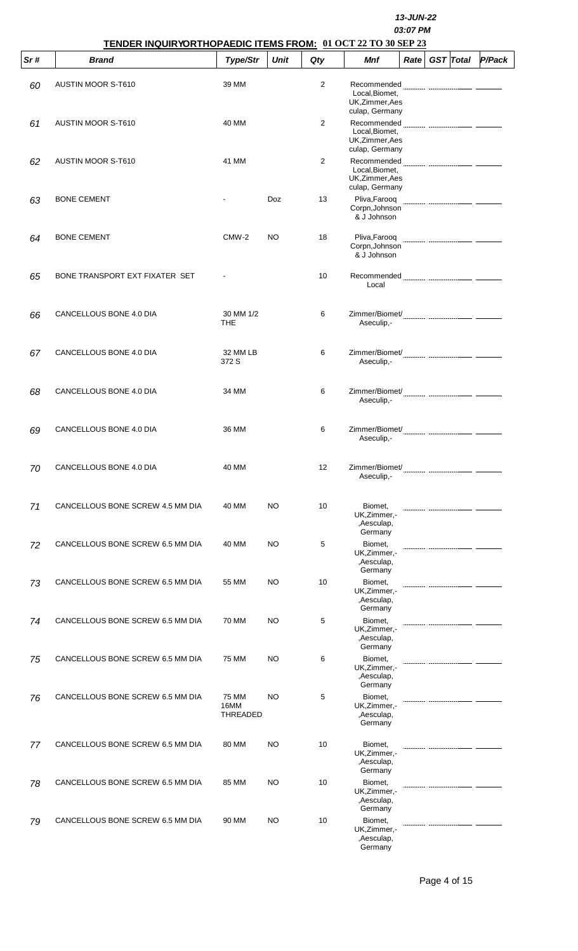|     | TENDER INQUIRYORTHOPAEDIC ITEMS FROM: 01 OCT 22 TO 30 SEP 23 |                                  |             |                | 13-JUN-22<br>03:07 PM                                              |      |  |                  |        |  |
|-----|--------------------------------------------------------------|----------------------------------|-------------|----------------|--------------------------------------------------------------------|------|--|------------------|--------|--|
| Sr# | <b>Brand</b>                                                 | Type/Str                         | <b>Unit</b> | Qty            | <b>Mnf</b>                                                         | Rate |  | <b>GST</b> Total | P/Pack |  |
| 60  | <b>AUSTIN MOOR S-T610</b>                                    | 39 MM                            |             | $\overline{2}$ | Recommended<br>Local, Biomet,<br>UK, Zimmer, Aes<br>culap, Germany |      |  |                  |        |  |
| 61  | <b>AUSTIN MOOR S-T610</b>                                    | 40 MM                            |             | $\overline{2}$ | Local, Biomet,<br>UK, Zimmer, Aes<br>culap, Germany                |      |  |                  |        |  |
| 62  | <b>AUSTIN MOOR S-T610</b>                                    | 41 MM                            |             | 2              | Local, Biomet,<br>UK, Zimmer, Aes<br>culap, Germany                |      |  |                  |        |  |
| 63  | <b>BONE CEMENT</b>                                           |                                  | <b>Doz</b>  | 13             | Pliva, Farooq<br>Corpn, Johnson<br>& J Johnson                     |      |  |                  |        |  |
| 64  | <b>BONE CEMENT</b>                                           | CMW-2                            | <b>NO</b>   | 18             | Pliva, Farooq<br>Corpn, Johnson<br>& J Johnson                     |      |  |                  |        |  |
| 65  | BONE TRANSPORT EXT FIXATER SET                               |                                  |             | 10             | Local                                                              |      |  |                  |        |  |
| 66  | CANCELLOUS BONE 4.0 DIA                                      | 30 MM 1/2<br><b>THE</b>          |             | 6              | Aseculip,-                                                         |      |  |                  |        |  |
| 67  | CANCELLOUS BONE 4.0 DIA                                      | 32 MM LB<br>372 S                |             | 6              | Aseculip,-                                                         |      |  |                  |        |  |
| 68  | CANCELLOUS BONE 4.0 DIA                                      | 34 MM                            |             | 6              | Aseculip,-                                                         |      |  |                  |        |  |
| 69  | CANCELLOUS BONE 4.0 DIA                                      | 36 MM                            |             | 6              | Zimmer/Biomet/<br>Aseculip,-                                       |      |  |                  |        |  |
| 70  | CANCELLOUS BONE 4.0 DIA                                      | 40 MM                            |             | 12             | Aseculip,-                                                         |      |  |                  |        |  |
| 71  | CANCELLOUS BONE SCREW 4.5 MM DIA                             | 40 MM                            | NO.         | 10             | Biomet,<br>UK, Zimmer, -<br>,Aesculap,<br>Germany                  |      |  |                  |        |  |
| 72  | CANCELLOUS BONE SCREW 6.5 MM DIA                             | 40 MM                            | NO.         | 5              | Biomet,<br>UK, Zimmer, -<br>,Aesculap,<br>Germany                  |      |  |                  |        |  |
| 73  | CANCELLOUS BONE SCREW 6.5 MM DIA                             | 55 MM                            | NO.         | 10             | Biomet,<br>UK, Zimmer, -<br>,Aesculap,<br>Germany                  |      |  |                  |        |  |
| 74  | CANCELLOUS BONE SCREW 6.5 MM DIA                             | 70 MM                            | NO.         | 5              | Biomet,<br>UK, Zimmer, -<br>,Aesculap,<br>Germany                  |      |  |                  |        |  |
| 75  | CANCELLOUS BONE SCREW 6.5 MM DIA                             | 75 MM                            | NO.         | 6              | Biomet,<br>UK, Zimmer, -<br>,Aesculap,<br>Germany                  |      |  |                  |        |  |
| 76  | CANCELLOUS BONE SCREW 6.5 MM DIA                             | 75 MM<br>16MM<br><b>THREADED</b> | NO.         | 5              | Biomet,<br>UK, Zimmer, -<br>,Aesculap,<br>Germany                  |      |  |                  |        |  |
| 77  | CANCELLOUS BONE SCREW 6.5 MM DIA                             | 80 MM                            | NO          | 10             | Biomet,<br>UK, Zimmer, -<br>,Aesculap,<br>Germany                  |      |  |                  |        |  |
| 78  | CANCELLOUS BONE SCREW 6.5 MM DIA                             | 85 MM                            | NO          | 10             | Biomet,<br>UK, Zimmer, -<br>,Aesculap,<br>Germany                  |      |  |                  |        |  |
| 79  | CANCELLOUS BONE SCREW 6.5 MM DIA                             | 90 MM                            | <b>NO</b>   | 10             | Biomet,<br>UK, Zimmer, -<br>,Aesculap,<br>Germany                  |      |  |                  |        |  |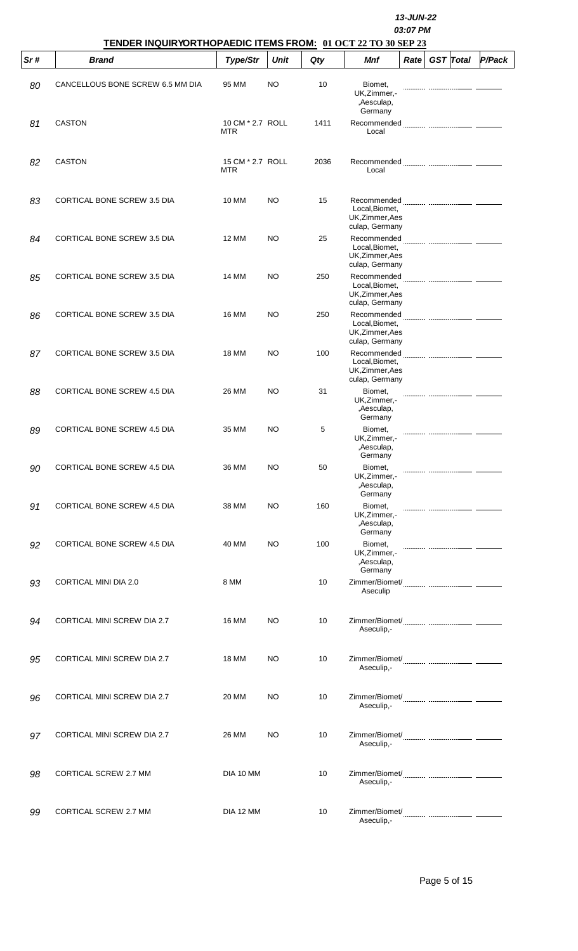|     |                                                                              | <b>13-JUN-22</b><br>03:07 PM   |             |      |                                                                           |      |                  |  |        |  |  |
|-----|------------------------------------------------------------------------------|--------------------------------|-------------|------|---------------------------------------------------------------------------|------|------------------|--|--------|--|--|
| Sr# | TENDER INQUIRYORTHOPAEDIC ITEMS FROM: 01 OCT 22 TO 30 SEP 23<br><b>Brand</b> | Type/Str                       | <b>Unit</b> | Qty  | Mnf                                                                       | Rate | <b>GST</b> Total |  | P/Pack |  |  |
| 80  | CANCELLOUS BONE SCREW 6.5 MM DIA                                             | 95 MM                          | NO          | 10   | Biomet,<br>UK, Zimmer, -<br>,Aesculap,                                    |      |                  |  |        |  |  |
| 81  | <b>CASTON</b>                                                                | 10 CM * 2.7 ROLL<br><b>MTR</b> |             | 1411 | Germany<br>Recommended <b>Manual Communication Communication</b><br>Local |      |                  |  |        |  |  |
| 82  | <b>CASTON</b>                                                                | 15 CM * 2.7 ROLL<br><b>MTR</b> |             | 2036 | Local                                                                     |      |                  |  |        |  |  |
| 83  | <b>CORTICAL BONE SCREW 3.5 DIA</b>                                           | 10 MM                          | NO.         | 15   | Local, Biomet,<br>UK, Zimmer, Aes                                         |      |                  |  |        |  |  |
| 84  | CORTICAL BONE SCREW 3.5 DIA                                                  | <b>12 MM</b>                   | NO          | 25   | culap, Germany<br>Local, Biomet,<br>UK, Zimmer, Aes                       |      |                  |  |        |  |  |
| 85  | <b>CORTICAL BONE SCREW 3.5 DIA</b>                                           | 14 MM                          | NO.         | 250  | culap, Germany<br>Local, Biomet,<br>UK, Zimmer, Aes                       |      |                  |  |        |  |  |
| 86  | CORTICAL BONE SCREW 3.5 DIA                                                  | <b>16 MM</b>                   | NO.         | 250  | culap, Germany<br>Local, Biomet,<br>UK, Zimmer, Aes                       |      |                  |  |        |  |  |
| 87  | CORTICAL BONE SCREW 3.5 DIA                                                  | <b>18 MM</b>                   | NO.         | 100  | culap, Germany<br>Local, Biomet,<br>UK, Zimmer, Aes                       |      |                  |  |        |  |  |
| 88  | CORTICAL BONE SCREW 4.5 DIA                                                  | 26 MM                          | NO          | 31   | culap, Germany<br>Biomet,<br>UK, Zimmer, -<br>,Aesculap,                  |      |                  |  |        |  |  |
| 89  | CORTICAL BONE SCREW 4.5 DIA                                                  | 35 MM                          | NO.         | 5    | Germany<br>Biomet,<br>UK,Zimmer,-<br>,Aesculap,<br>Germany                |      |                  |  |        |  |  |
| 90  | CORTICAL BONE SCREW 4.5 DIA                                                  | 36 MM                          | NO          | 50   | Biomet.<br>UK, Zimmer, -<br>,Aesculap,<br>Germany                         |      |                  |  |        |  |  |
| 91  | CORTICAL BONE SCREW 4.5 DIA                                                  | 38 MM                          | NO          | 160  | Biomet,<br>UK, Zimmer,-<br>,Aesculap,<br>Germany                          |      |                  |  |        |  |  |
| 92  | <b>CORTICAL BONE SCREW 4.5 DIA</b>                                           | 40 MM                          | NO          | 100  | Biomet,<br>UK, Zimmer, -<br>,Aesculap,<br>Germany                         |      |                  |  |        |  |  |
| 93  | CORTICAL MINI DIA 2.0                                                        | 8 MM                           |             | 10   | Aseculip                                                                  |      |                  |  |        |  |  |
| 94  | <b>CORTICAL MINI SCREW DIA 2.7</b>                                           | <b>16 MM</b>                   | NO.         | 10   | Aseculip,-                                                                |      |                  |  |        |  |  |
| 95  | <b>CORTICAL MINI SCREW DIA 2.7</b>                                           | <b>18 MM</b>                   | NO          | 10   | Aseculip,-                                                                |      |                  |  |        |  |  |
| 96  | <b>CORTICAL MINI SCREW DIA 2.7</b>                                           | 20 MM                          | NO          | 10   | Aseculip,-                                                                |      |                  |  |        |  |  |
| 97  | <b>CORTICAL MINI SCREW DIA 2.7</b>                                           | 26 MM                          | NO.         | 10   | Aseculip,-                                                                |      |                  |  |        |  |  |
| 98  | CORTICAL SCREW 2.7 MM                                                        | DIA 10 MM                      |             | 10   | Aseculip,-                                                                |      |                  |  |        |  |  |
| 99  | CORTICAL SCREW 2.7 MM                                                        | DIA 12 MM                      |             | 10   | Aseculip,-                                                                |      |                  |  |        |  |  |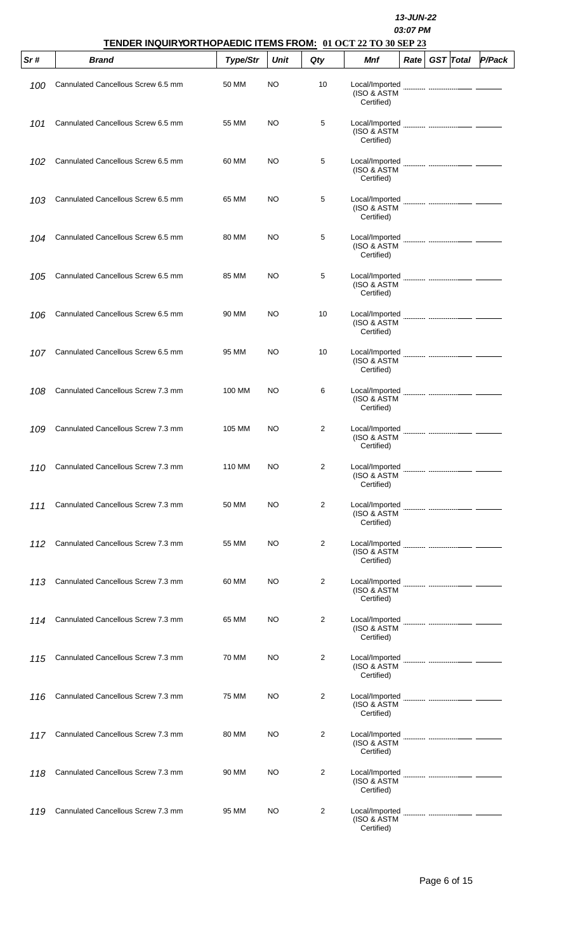|     |                                    | 13-JUN-22<br>03:07 PM<br>TENDER INQUIRYORTHOPAEDIC ITEMS FROM: 01 OCT 22 TO 30 SEP 23 |             |     |                                             |      |  |                  |        |  |  |  |
|-----|------------------------------------|---------------------------------------------------------------------------------------|-------------|-----|---------------------------------------------|------|--|------------------|--------|--|--|--|
| Sr# | <b>Brand</b>                       | Type/Str                                                                              | <b>Unit</b> | Qty | Mnf                                         | Rate |  | <b>GST</b> Total | P/Pack |  |  |  |
| 100 | Cannulated Cancellous Screw 6.5 mm | 50 MM                                                                                 | NO          | 10  | Local/Imported<br>(ISO & ASTM<br>Certified) |      |  |                  |        |  |  |  |
| 101 | Cannulated Cancellous Screw 6.5 mm | 55 MM                                                                                 | NO.         | 5   | Local/Imported<br>(ISO & ASTM<br>Certified) |      |  |                  |        |  |  |  |
| 102 | Cannulated Cancellous Screw 6.5 mm | 60 MM                                                                                 | NO          | 5   | Local/Imported<br>(ISO & ASTM<br>Certified) |      |  |                  |        |  |  |  |
| 103 | Cannulated Cancellous Screw 6.5 mm | 65 MM                                                                                 | NO          | 5   | Local/Imported<br>(ISO & ASTM<br>Certified) |      |  |                  |        |  |  |  |
| 104 | Cannulated Cancellous Screw 6.5 mm | 80 MM                                                                                 | NO          | 5   | Local/Imported<br>(ISO & ASTM<br>Certified) |      |  |                  |        |  |  |  |
| 105 | Cannulated Cancellous Screw 6.5 mm | 85 MM                                                                                 | NO          | 5   | Local/Imported<br>(ISO & ASTM<br>Certified) |      |  |                  |        |  |  |  |
| 106 | Cannulated Cancellous Screw 6.5 mm | 90 MM                                                                                 | NO          | 10  | Local/Imported<br>(ISO & ASTM<br>Certified) |      |  |                  |        |  |  |  |
| 107 | Cannulated Cancellous Screw 6.5 mm | 95 MM                                                                                 | NO          | 10  | Local/Imported<br>(ISO & ASTM<br>Certified) |      |  |                  |        |  |  |  |
| 108 | Cannulated Cancellous Screw 7.3 mm | 100 MM                                                                                | NO          | 6   | Local/Imported<br>(ISO & ASTM<br>Certified) |      |  |                  |        |  |  |  |
| 109 | Cannulated Cancellous Screw 7.3 mm | 105 MM                                                                                | NO          | 2   | Local/Imported<br>(ISO & ASTM<br>Certified) |      |  |                  |        |  |  |  |
| 110 | Cannulated Cancellous Screw 7.3 mm | 110 MM                                                                                | NO          | 2   | Local/Imported<br>(ISO & ASTM<br>Certified) |      |  |                  |        |  |  |  |
| 111 | Cannulated Cancellous Screw 7.3 mm | 50 MM                                                                                 | NO          | 2   | Local/Imported<br>(ISO & ASTM<br>Certified) |      |  |                  |        |  |  |  |
| 112 | Cannulated Cancellous Screw 7.3 mm | 55 MM                                                                                 | NO          | 2   | Local/Imported<br>(ISO & ASTM<br>Certified) |      |  |                  |        |  |  |  |
| 113 | Cannulated Cancellous Screw 7.3 mm | 60 MM                                                                                 | NO          | 2   | Local/Imported<br>(ISO & ASTM<br>Certified) |      |  |                  |        |  |  |  |
| 114 | Cannulated Cancellous Screw 7.3 mm | 65 MM                                                                                 | NO          | 2   | Local/Imported<br>(ISO & ASTM<br>Certified) |      |  |                  |        |  |  |  |
| 115 | Cannulated Cancellous Screw 7.3 mm | 70 MM                                                                                 | NO          | 2   | Local/Imported<br>(ISO & ASTM<br>Certified) |      |  |                  |        |  |  |  |
| 116 | Cannulated Cancellous Screw 7.3 mm | 75 MM                                                                                 | NO          | 2   | Local/Imported<br>(ISO & ASTM<br>Certified) |      |  |                  |        |  |  |  |
| 117 | Cannulated Cancellous Screw 7.3 mm | 80 MM                                                                                 | NO          | 2   | Local/Imported<br>(ISO & ASTM<br>Certified) |      |  |                  |        |  |  |  |
| 118 | Cannulated Cancellous Screw 7.3 mm | 90 MM                                                                                 | NO          | 2   | Local/Imported<br>(ISO & ASTM<br>Certified) |      |  |                  |        |  |  |  |
| 119 | Cannulated Cancellous Screw 7.3 mm | 95 MM                                                                                 | NO          | 2   | Local/Imported<br>(ISO & ASTM<br>Certified) |      |  |                  |        |  |  |  |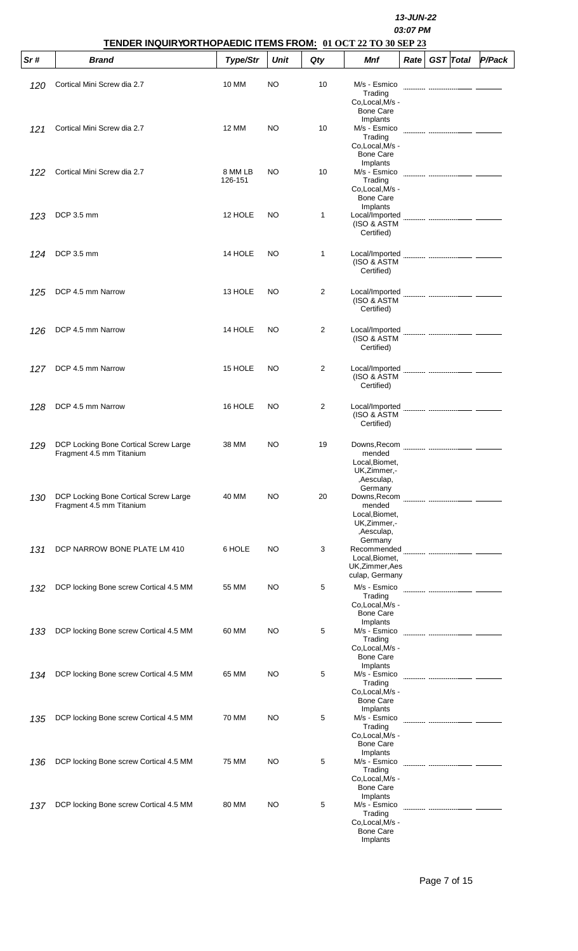|      | TENDER INQUIRYORTHOPAEDIC ITEMS FROM: 01 OCT 22 TO 30 SEP 23      |                    |      |              | <b>13-JUN-22</b><br>03:07 PM                                                                           |                  |        |  |  |  |
|------|-------------------------------------------------------------------|--------------------|------|--------------|--------------------------------------------------------------------------------------------------------|------------------|--------|--|--|--|
| Sr # | <b>Brand</b>                                                      | Type/Str           | Unit | Qty          | Mnf<br>Rate <sub>1</sub>                                                                               | <b>GST</b> Total | P/Pack |  |  |  |
| 120  | Cortical Mini Screw dia 2.7                                       | 10 MM              | NO.  | 10           | M/s - Esmico<br>Trading<br>Co, Local, M/s -<br><b>Bone Care</b>                                        |                  |        |  |  |  |
| 121  | Cortical Mini Screw dia 2.7                                       | 12 MM              | NO.  | 10           | Implants<br>M/s - Esmico<br>Trading<br>Co.Local, M/s -<br><b>Bone Care</b>                             |                  |        |  |  |  |
| 122  | Cortical Mini Screw dia 2.7                                       | 8 MM LB<br>126-151 | NO.  | 10           | Implants<br>M/s - Esmico<br>Trading<br>Co.Local, M/s -<br><b>Bone Care</b>                             |                  |        |  |  |  |
| 123  | DCP 3.5 mm                                                        | 12 HOLE            | NO.  | $\mathbf{1}$ | Implants<br>Local/Imported<br>(ISO & ASTM<br>Certified)                                                |                  |        |  |  |  |
| 124  | DCP 3.5 mm                                                        | 14 HOLE            | NO   | $\mathbf{1}$ | Local/Imported<br>(ISO & ASTM<br>Certified)                                                            |                  |        |  |  |  |
| 125  | DCP 4.5 mm Narrow                                                 | 13 HOLE            | NO.  | 2            | Local/Imported<br>(ISO & ASTM<br>Certified)                                                            |                  |        |  |  |  |
| 126  | DCP 4.5 mm Narrow                                                 | 14 HOLE            | NO   | 2            | Local/Imported<br>(ISO & ASTM<br>Certified)                                                            |                  |        |  |  |  |
| 127  | DCP 4.5 mm Narrow                                                 | 15 HOLE            | NO.  | 2            | Local/Imported<br>(ISO & ASTM<br>Certified)                                                            |                  |        |  |  |  |
| 128  | DCP 4.5 mm Narrow                                                 | 16 HOLE            | NO   | 2            | Local/Imported<br>(ISO & ASTM<br>Certified)                                                            |                  |        |  |  |  |
| 129  | DCP Locking Bone Cortical Screw Large<br>Fragment 4.5 mm Titanium | 38 MM              | NO   | 19           | mended<br>Local, Biomet,<br>UK, Zimmer, -<br>,Aesculap,<br>Germany                                     |                  |        |  |  |  |
| 130  | DCP Locking Bone Cortical Screw Large<br>Fragment 4.5 mm Titanium | 40 MM              | NO   | 20           | mended<br>Local, Biomet,<br>UK, Zimmer, -<br>,Aesculap,<br>Germany                                     |                  |        |  |  |  |
| 131  | DCP NARROW BONE PLATE LM 410                                      | 6 HOLE             | NO   | 3            | Recommended <b>Management Commentary (2018)</b><br>Local, Biomet,<br>UK, Zimmer, Aes<br>culap, Germany |                  |        |  |  |  |
| 132  | DCP locking Bone screw Cortical 4.5 MM                            | 55 MM              | NO   | 5            | M/s - Esmico<br>Trading<br>Co, Local, M/s -<br><b>Bone Care</b><br>Implants                            |                  |        |  |  |  |
| 133  | DCP locking Bone screw Cortical 4.5 MM                            | 60 MM              | NO   | 5            | M/s - Esmico<br>Trading<br>Co, Local, M/s -<br><b>Bone Care</b><br>Implants                            |                  |        |  |  |  |
| 134  | DCP locking Bone screw Cortical 4.5 MM                            | 65 MM              | NO.  | 5            | M/s - Esmico<br>Trading<br>Co, Local, M/s -<br><b>Bone Care</b>                                        |                  |        |  |  |  |
| 135  | DCP locking Bone screw Cortical 4.5 MM                            | 70 MM              | NO.  | 5            | Implants<br>M/s - Esmico<br>Trading<br>Co, Local, M/s -<br><b>Bone Care</b>                            |                  |        |  |  |  |
| 136  | DCP locking Bone screw Cortical 4.5 MM                            | 75 MM              | NO   | 5            | Implants<br>M/s - Esmico<br>Trading<br>Co.Local.M/s -<br><b>Bone Care</b>                              |                  |        |  |  |  |
| 137  | DCP locking Bone screw Cortical 4.5 MM                            | 80 MM              | NO   | 5            | Implants<br>M/s - Esmico<br>Trading<br>Co, Local, M/s -<br><b>Bone Care</b><br>Implants                |                  |        |  |  |  |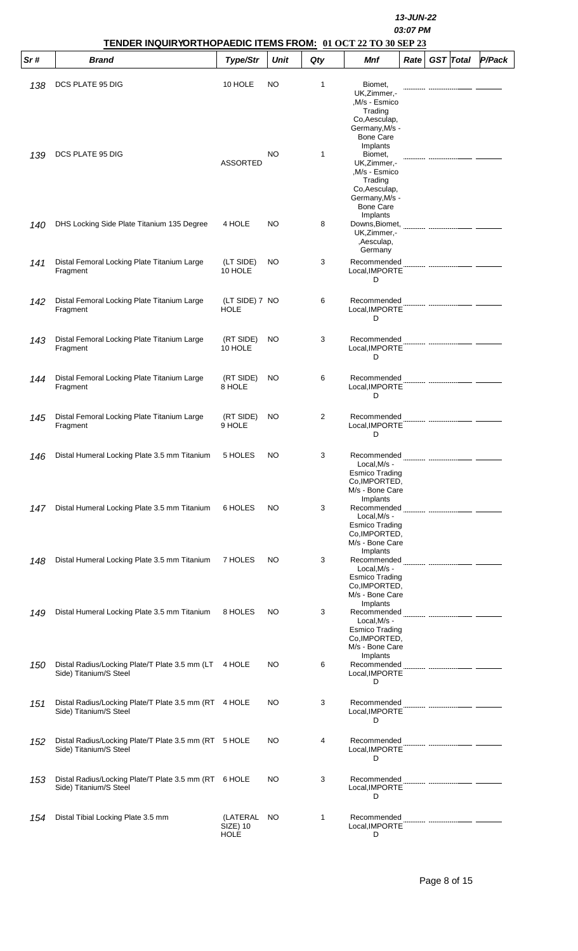|      | TENDER INQUIRYORTHOPAEDIC ITEMS FROM: 01 OCT 22 TO 30 SEP 23                    |                                            | 13-JUN-22<br>03:07 PM |     |                                                                                                                                             |      |                  |        |
|------|---------------------------------------------------------------------------------|--------------------------------------------|-----------------------|-----|---------------------------------------------------------------------------------------------------------------------------------------------|------|------------------|--------|
| Sr # | <b>Brand</b>                                                                    | Type/Str                                   | <b>Unit</b>           | Qty | <b>Mnf</b>                                                                                                                                  | Rate | <b>GST</b> Total | P/Pack |
| 138  | DCS PLATE 95 DIG                                                                | 10 HOLE                                    | NO.                   | 1   | Biomet,<br>UK, Zimmer, -<br>,M/s - Esmico<br>Trading<br>Co, Aesculap,<br>Germany, M/s -                                                     |      |                  |        |
| 139  | DCS PLATE 95 DIG                                                                | <b>ASSORTED</b>                            | NO                    | 1   | <b>Bone Care</b><br>Implants<br>Biomet,<br>UK, Zimmer, -<br>,M/s - Esmico<br>Trading<br>Co, Aesculap,<br>Germany, M/s -<br><b>Bone Care</b> |      |                  |        |
| 140  | DHS Locking Side Plate Titanium 135 Degree                                      | 4 HOLE                                     | NO                    | 8   | Implants<br>Downs, Biomet,<br>UK, Zimmer, -<br>,Aesculap,<br>Germany                                                                        |      |                  |        |
| 141  | Distal Femoral Locking Plate Titanium Large<br>Fragment                         | (LT SIDE)<br>10 HOLE                       | NO.                   | 3   | Recommended<br>Local, IMPORTE<br>D                                                                                                          |      |                  |        |
| 142  | Distal Femoral Locking Plate Titanium Large<br>Fragment                         | (LT SIDE) 7 NO<br><b>HOLE</b>              |                       | 6   | Recommended<br>Local, IMPORTE<br>D                                                                                                          |      |                  |        |
| 143  | Distal Femoral Locking Plate Titanium Large<br>Fragment                         | (RT SIDE)<br>10 HOLE                       | NO.                   | 3   | Recommended<br>Local, IMPORTE<br>D                                                                                                          |      |                  |        |
| 144  | Distal Femoral Locking Plate Titanium Large<br>Fragment                         | (RT SIDE)<br>8 HOLE                        | NO.                   | 6   | Recommended<br>Local, IMPORTE<br>D                                                                                                          |      |                  |        |
| 145  | Distal Femoral Locking Plate Titanium Large<br>Fragment                         | (RT SIDE)<br>9 HOLE                        | NO.                   | 2   | Recommended<br>Local, IMPORTE<br>D                                                                                                          |      |                  |        |
| 146  | Distal Humeral Locking Plate 3.5 mm Titanium                                    | 5 HOLES                                    | NO                    | 3   | Local, M/s -<br><b>Esmico Trading</b><br>Co, IMPORTED,<br>M/s - Bone Care                                                                   |      |                  |        |
| 147  | Distal Humeral Locking Plate 3.5 mm Titanium                                    | 6 HOLES                                    | NO                    | 3   | Implants<br>Local, M/s -<br><b>Esmico Trading</b><br>Co, IMPORTED,<br>M/s - Bone Care                                                       |      |                  |        |
| 148  | Distal Humeral Locking Plate 3.5 mm Titanium                                    | 7 HOLES                                    | NO.                   | 3   | Implants<br>Recommended<br>Local, M/s -<br><b>Esmico Trading</b><br>Co, IMPORTED,<br>M/s - Bone Care                                        |      |                  |        |
| 149  | Distal Humeral Locking Plate 3.5 mm Titanium                                    | 8 HOLES                                    | NO.                   | 3   | Implants<br>Recommended<br>Local, M/s -<br><b>Esmico Trading</b><br>Co, IMPORTED,<br>M/s - Bone Care                                        |      |                  |        |
| 150  | Distal Radius/Locking Plate/T Plate 3.5 mm (LT 4 HOLE<br>Side) Titanium/S Steel |                                            | NO.                   | 6   | Implants<br>Recommended<br>Local, IMPORTE<br>D                                                                                              |      |                  |        |
| 151  | Distal Radius/Locking Plate/T Plate 3.5 mm (RT 4 HOLE<br>Side) Titanium/S Steel |                                            | NO.                   | 3   | Recommended<br>Local, IMPORTE<br>D                                                                                                          |      |                  |        |
| 152  | Distal Radius/Locking Plate/T Plate 3.5 mm (RT 5 HOLE<br>Side) Titanium/S Steel |                                            | NO.                   | 4   | Recommended<br>Local, IMPORTE<br>D                                                                                                          |      |                  |        |
| 153  | Distal Radius/Locking Plate/T Plate 3.5 mm (RT 6 HOLE<br>Side) Titanium/S Steel |                                            | NO.                   | 3   | Recommended<br>Local, IMPORTE<br>D                                                                                                          |      |                  |        |
| 154  | Distal Tibial Locking Plate 3.5 mm                                              | (LATERAL<br><b>SIZE) 10</b><br><b>HOLE</b> | NO.                   | 1   | Recommended<br>Local, IMPORTE<br>D                                                                                                          |      |                  |        |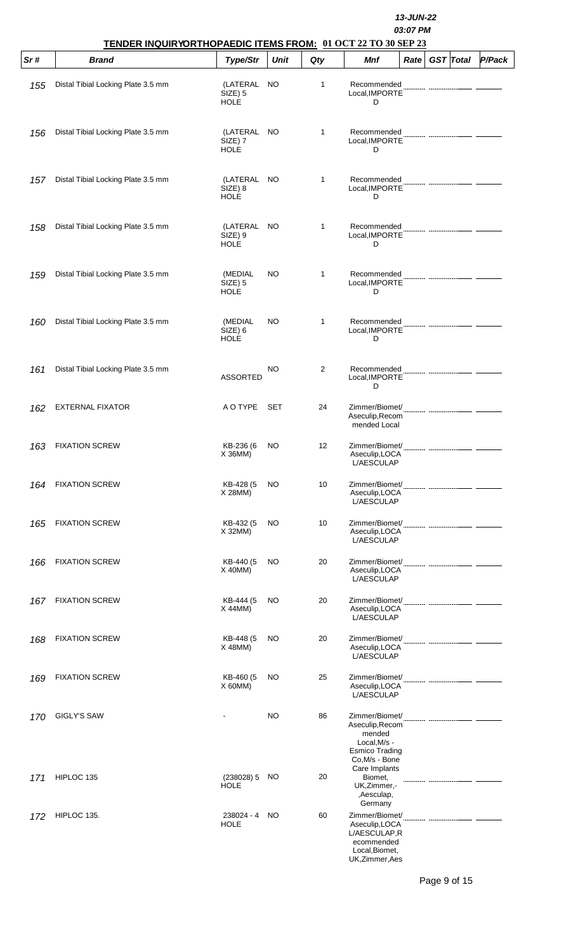|     |                                    | 13-JUN-22<br>03:07 PM<br>TENDER INQUIRYORTHOPAEDIC ITEMS FROM: 01 OCT 22 TO 30 SEP 23 |             |              |                                                                                                       |      |  |                  |        |  |
|-----|------------------------------------|---------------------------------------------------------------------------------------|-------------|--------------|-------------------------------------------------------------------------------------------------------|------|--|------------------|--------|--|
| Sr# | <b>Brand</b>                       | Type/Str                                                                              | <b>Unit</b> | Qty          | <b>Mnf</b>                                                                                            | Rate |  | <b>GST</b> Total | P/Pack |  |
| 155 | Distal Tibial Locking Plate 3.5 mm | (LATERAL<br>SIZE) 5<br><b>HOLE</b>                                                    | NO.         | 1            | Recommended<br>Local, IMPORTE<br>D                                                                    |      |  |                  |        |  |
| 156 | Distal Tibial Locking Plate 3.5 mm | (LATERAL NO<br>SIZE) 7<br><b>HOLE</b>                                                 |             | $\mathbf{1}$ | Recommended<br>Local, IMPORTE<br>D                                                                    |      |  |                  |        |  |
| 157 | Distal Tibial Locking Plate 3.5 mm | (LATERAL<br>SIZE) 8<br><b>HOLE</b>                                                    | NO.         | 1            | Recommended<br>Local, IMPORTE<br>D                                                                    |      |  |                  |        |  |
| 158 | Distal Tibial Locking Plate 3.5 mm | (LATERAL<br>SIZE) 9<br><b>HOLE</b>                                                    | NO          | $\mathbf{1}$ | Recommended<br>Local, IMPORTE<br>D                                                                    |      |  |                  |        |  |
| 159 | Distal Tibial Locking Plate 3.5 mm | (MEDIAL<br>SIZE) 5<br><b>HOLE</b>                                                     | NO          | $\mathbf{1}$ | Recommended<br>Local, IMPORTE<br>D                                                                    |      |  |                  |        |  |
| 160 | Distal Tibial Locking Plate 3.5 mm | (MEDIAL<br>SIZE) 6<br><b>HOLE</b>                                                     | NO.         | $\mathbf{1}$ | Recommended<br>Local, IMPORTE<br>D                                                                    |      |  |                  |        |  |
| 161 | Distal Tibial Locking Plate 3.5 mm | <b>ASSORTED</b>                                                                       | NO          | 2            | Recommended<br>Local, IMPORTE<br>D                                                                    |      |  |                  |        |  |
| 162 | <b>EXTERNAL FIXATOR</b>            | A O TYPE                                                                              | <b>SET</b>  | 24           | Zimmer/Biomet/<br>Aseculip, Recom<br>mended Local                                                     |      |  |                  |        |  |
| 163 | <b>FIXATION SCREW</b>              | KB-236 (6<br>$X$ 36MM)                                                                | NO          | 12           | Zimmer/Biomet/<br>Aseculip, LOCA<br>L/AESCULAP                                                        |      |  |                  |        |  |
| 164 | <b>FIXATION SCREW</b>              | KB-428 (5<br>X 28MM)                                                                  | NO          | 10           | Zimmer/Biomet/<br>Aseculip, LOCA<br>L/AESCULAP                                                        |      |  |                  |        |  |
| 165 | <b>FIXATION SCREW</b>              | KB-432 (5<br>X 32MM)                                                                  | NO.         | 10           | Zimmer/Biomet/<br>Aseculip, LOCA<br><b>L/AESCULAP</b>                                                 |      |  |                  |        |  |
| 166 | <b>FIXATION SCREW</b>              | KB-440 (5<br>$X$ 40MM)                                                                | NO          | 20           | Aseculip, LOCA<br>L/AESCULAP                                                                          |      |  |                  |        |  |
| 167 | <b>FIXATION SCREW</b>              | KB-444 (5<br>X 44MM)                                                                  | NO          | 20           | Zimmer/Biomet/<br>Aseculip, LOCA<br>L/AESCULAP                                                        |      |  |                  |        |  |
| 168 | <b>FIXATION SCREW</b>              | KB-448 (5<br>X 48MM)                                                                  | NO          | 20           | Zimmer/Biomet/<br>Aseculip, LOCA<br>L/AESCULAP                                                        |      |  |                  |        |  |
| 169 | <b>FIXATION SCREW</b>              | KB-460 (5<br>$X$ 60MM)                                                                | NO          | 25           | Zimmer/Biomet/<br>Aseculip, LOCA<br>L/AESCULAP                                                        |      |  |                  |        |  |
| 170 | GIGLY'S SAW                        |                                                                                       | NO          | 86           | Zimmer/Biomet/<br>Aseculip, Recom<br>mended<br>Local, M/s -<br><b>Esmico Trading</b><br>Co.M/s - Bone |      |  |                  |        |  |
| 171 | HIPLOC 135                         | (238028)5<br><b>HOLE</b>                                                              | NO          | 20           | Care Implants<br>Biomet,<br>UK, Zimmer, -<br>,Aesculap,<br>Germany                                    |      |  |                  |        |  |
| 172 | HIPLOC 135.                        | 238024 - 4<br><b>HOLE</b>                                                             | NO.         | 60           | Zimmer/Biomet/<br>Aseculip, LOCA<br>L/AESCULAP,R<br>ecommended<br>Local, Biomet,                      |      |  |                  |        |  |

UK,Zimmer,Aes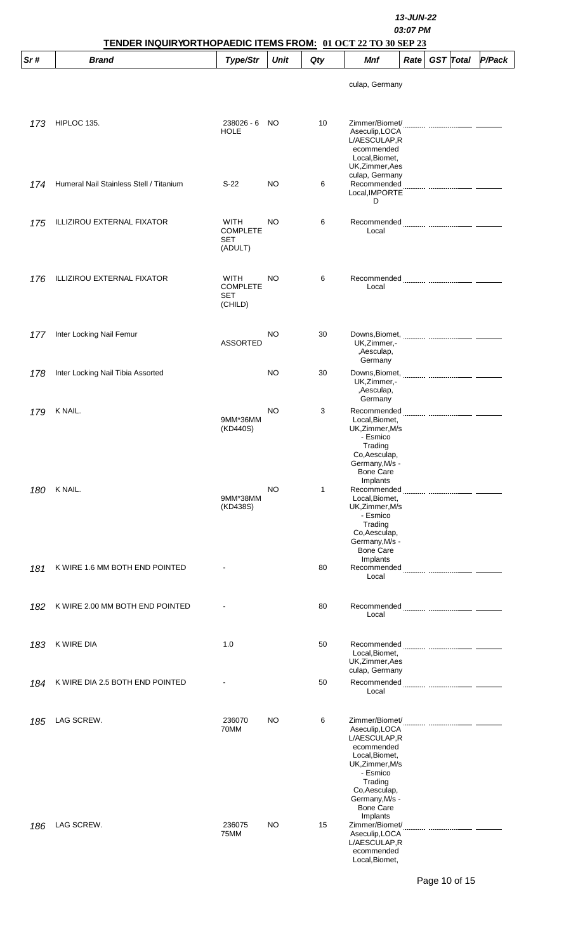|     | TENDER INQUIRYORTHOPAEDIC ITEMS FROM: 01 OCT 22 TO 30 SEP 23 |                                           |           |     | 13-JUN-22<br>03:07 PM                                                                                                                                                       |        |  |  |  |  |
|-----|--------------------------------------------------------------|-------------------------------------------|-----------|-----|-----------------------------------------------------------------------------------------------------------------------------------------------------------------------------|--------|--|--|--|--|
| Sr# | <b>Brand</b>                                                 | Type/Str                                  | Unit      | Qty | <b>Mnf</b><br><b>GST</b> Total<br>Rate                                                                                                                                      | P/Pack |  |  |  |  |
|     |                                                              |                                           |           |     | culap, Germany                                                                                                                                                              |        |  |  |  |  |
| 173 | HIPLOC 135.                                                  | 238026 - 6<br><b>HOLE</b>                 | <b>NO</b> | 10  | Zimmer/Biomet/<br>Aseculip, LOCA<br>L/AESCULAP,R<br>ecommended<br>Local, Biomet,<br>UK, Zimmer, Aes                                                                         |        |  |  |  |  |
| 174 | Humeral Nail Stainless Stell / Titanium                      | $S-22$                                    | NO.       | 6   | culap, Germany<br>Recommended<br>Local, IMPORTE<br>D                                                                                                                        |        |  |  |  |  |
| 175 | <b>ILLIZIROU EXTERNAL FIXATOR</b>                            | WITH<br><b>COMPLETE</b><br>SET<br>(ADULT) | NO        | 6   | Recommended <b>Manual Communication Communication</b><br>Local                                                                                                              |        |  |  |  |  |
| 176 | <b>ILLIZIROU EXTERNAL FIXATOR</b>                            | WITH<br><b>COMPLETE</b><br>SET<br>(CHILD) | NO.       | 6   | Local                                                                                                                                                                       |        |  |  |  |  |
| 177 | Inter Locking Nail Femur                                     | <b>ASSORTED</b>                           | NO.       | 30  | UK, Zimmer,-<br>,Aesculap,<br>Germany                                                                                                                                       |        |  |  |  |  |
| 178 | Inter Locking Nail Tibia Assorted                            |                                           | NO.       | 30  | UK, Zimmer, -<br>,Aesculap,<br>Germany                                                                                                                                      |        |  |  |  |  |
| 179 | K NAIL.                                                      | 9MM*36MM<br>(KD440S)                      | NO        | 3   | Local, Biomet,<br>UK, Zimmer, M/s<br>- Esmico<br>Trading<br>Co, Aesculap,<br>Germany, M/s -<br><b>Bone Care</b>                                                             |        |  |  |  |  |
| 180 | K NAIL.                                                      | 9MM*38MM<br>(KD438S)                      | <b>NO</b> | 1   | Implants<br>Recommended<br>Local, Biomet,<br>UK, Zimmer, M/s<br>- Esmico<br>Trading<br>Co, Aesculap,<br>Germany, M/s -<br><b>Bone Care</b>                                  |        |  |  |  |  |
| 181 | K WIRE 1.6 MM BOTH END POINTED                               |                                           |           | 80  | Implants<br>Recommended<br>Local                                                                                                                                            |        |  |  |  |  |
| 182 | K WIRE 2.00 MM BOTH END POINTED                              |                                           |           | 80  | Local                                                                                                                                                                       |        |  |  |  |  |
| 183 | K WIRE DIA                                                   | 1.0                                       |           | 50  | Recommended<br>Local, Biomet,<br>UK, Zimmer, Aes                                                                                                                            |        |  |  |  |  |
| 184 | K WIRE DIA 2.5 BOTH END POINTED                              |                                           |           | 50  | culap, Germany<br>Recommended<br>Local                                                                                                                                      |        |  |  |  |  |
| 185 | LAG SCREW.                                                   | 236070<br>70MM                            | NO        | 6   | Aseculip, LOCA<br>L/AESCULAP,R<br>ecommended<br>Local, Biomet,<br>UK, Zimmer, M/s<br>- Esmico<br>Trading<br>Co, Aesculap,<br>Germany, M/s -<br><b>Bone Care</b><br>Implants |        |  |  |  |  |
| 186 | LAG SCREW.                                                   | 236075<br>75MM                            | NO        | 15  | Zimmer/Biomet/<br>Aseculip, LOCA<br>L/AESCULAP,R<br>ecommended<br>Local, Biomet,                                                                                            |        |  |  |  |  |

Page 10 of 15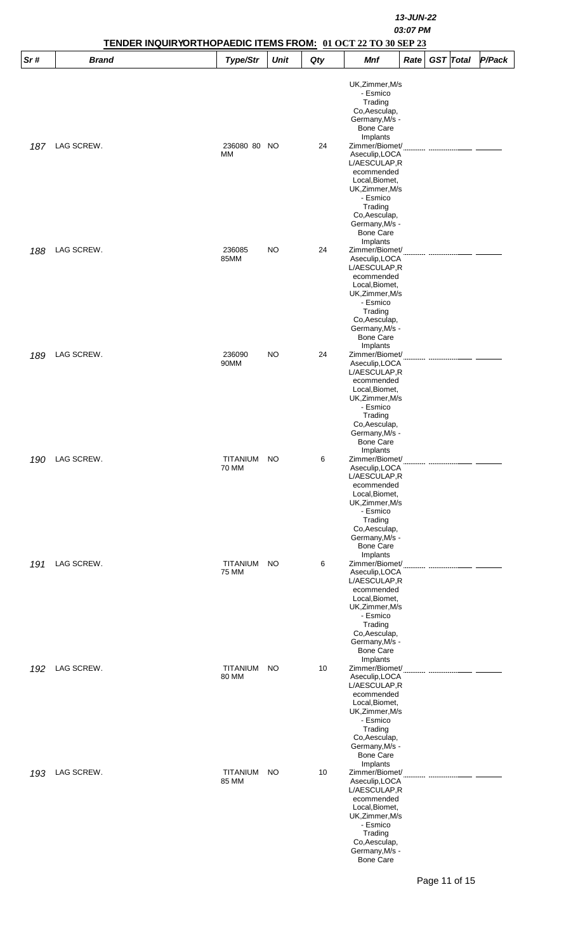|     |              |                          | 13-JUN-22<br>03:07 PM<br>TENDER INQUIRYORTHOPAEDIC ITEMS FROM: 01 OCT 22 TO 30 SEP 23 |     |                                                                                                                                                                                               |      |                  |        |  |  |  |
|-----|--------------|--------------------------|---------------------------------------------------------------------------------------|-----|-----------------------------------------------------------------------------------------------------------------------------------------------------------------------------------------------|------|------------------|--------|--|--|--|
| Sr# | <b>Brand</b> | Type/Str                 | <b>Unit</b>                                                                           | Qty | Mnf                                                                                                                                                                                           | Rate | <b>GST</b> Total | P/Pack |  |  |  |
|     |              |                          |                                                                                       |     | UK, Zimmer, M/s<br>- Esmico<br>Trading<br>Co, Aesculap,<br>Germany, M/s -<br><b>Bone Care</b>                                                                                                 |      |                  |        |  |  |  |
| 187 | LAG SCREW.   | 236080 80 NO<br>МM       |                                                                                       | 24  | Implants<br>Zimmer/Biomet/<br>Aseculip, LOCA<br>L/AESCULAP,R<br>ecommended                                                                                                                    |      |                  |        |  |  |  |
|     |              |                          |                                                                                       |     | Local, Biomet,<br>UK, Zimmer, M/s<br>- Esmico<br>Trading<br>Co, Aesculap,<br>Germany, M/s -<br><b>Bone Care</b><br>Implants                                                                   |      |                  |        |  |  |  |
| 188 | LAG SCREW.   | 236085<br>85MM           | <b>NO</b>                                                                             | 24  | Zimmer/Biomet/<br>Aseculip, LOCA<br>L/AESCULAP,R<br>ecommended<br>Local, Biomet,<br>UK, Zimmer, M/s<br>- Esmico<br>Trading                                                                    |      |                  |        |  |  |  |
| 189 | LAG SCREW.   | 236090<br>90MM           | <b>NO</b>                                                                             | 24  | Co, Aesculap,<br>Germany, M/s -<br><b>Bone Care</b><br>Implants<br>Zimmer/Biomet/<br>Aseculip, LOCA<br>L/AESCULAP,R<br>ecommended<br>Local, Biomet,                                           |      |                  |        |  |  |  |
| 190 | LAG SCREW.   | TITANIUM<br>70 MM        | NO                                                                                    | 6   | UK, Zimmer, M/s<br>- Esmico<br>Trading<br>Co, Aesculap,<br>Germany, M/s -<br><b>Bone Care</b><br>Implants<br>Zimmer/Biomet/<br>Aseculip, LOCA<br>L/AESCULAP,R<br>ecommended<br>Local, Biomet, |      |                  |        |  |  |  |
| 191 | LAG SCREW.   | TITANIUM<br>75 MM        | NO                                                                                    | 6   | UK, Zimmer, M/s<br>- Esmico<br>Trading<br>Co, Aesculap,<br>Germany, M/s -<br><b>Bone Care</b><br>Implants<br>Zimmer/Biomet/<br>Aseculip, LOCA<br>L/AESCULAP,R<br>ecommended                   |      |                  |        |  |  |  |
| 192 | LAG SCREW.   | <b>TITANIUM</b>          | <b>NO</b>                                                                             | 10  | Local, Biomet,<br>UK, Zimmer, M/s<br>- Esmico<br>Trading<br>Co, Aesculap,<br>Germany, M/s -<br><b>Bone Care</b><br>Implants<br>Zimmer/Biomet/                                                 |      |                  |        |  |  |  |
|     |              | 80 MM                    |                                                                                       |     | Aseculip, LOCA<br>L/AESCULAP,R<br>ecommended<br>Local, Biomet,<br>UK, Zimmer, M/s<br>- Esmico<br>Trading<br>Co, Aesculap,<br>Germany, M/s -<br><b>Bone Care</b><br>Implants                   |      |                  |        |  |  |  |
| 193 | LAG SCREW.   | <b>TITANIUM</b><br>85 MM | NO                                                                                    | 10  | Zimmer/Biomet/<br>Aseculip, LOCA<br>L/AESCULAP,R<br>ecommended<br>Local, Biomet,<br>UK, Zimmer, M/s<br>- Esmico<br>Trading<br>Co, Aesculap,<br>Germany, M/s -<br><b>Bone Care</b>             |      |                  |        |  |  |  |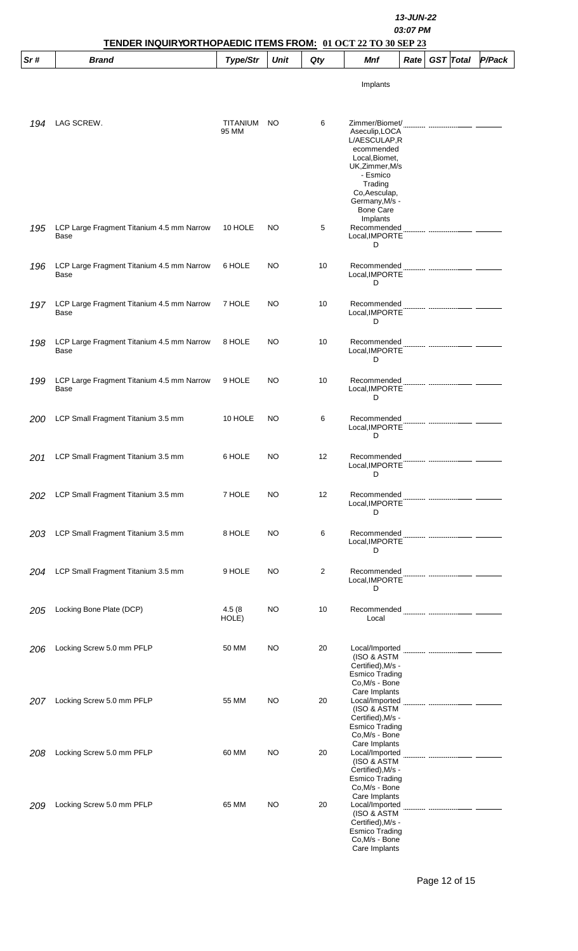|     | TENDER INQUIRYORTHOPAEDIC ITEMS FROM: 01 OCT 22 TO 30 SEP 23 |                   | 13-JUN-22<br>03:07 PM |     |                                                                                                                                                                                   |                   |                  |        |
|-----|--------------------------------------------------------------|-------------------|-----------------------|-----|-----------------------------------------------------------------------------------------------------------------------------------------------------------------------------------|-------------------|------------------|--------|
| Sr# | <b>Brand</b>                                                 | Type/Str          | Unit                  | Qty | Mnf                                                                                                                                                                               | Rate <sup>2</sup> | <b>GST</b> Total | P/Pack |
|     |                                                              |                   |                       |     | Implants                                                                                                                                                                          |                   |                  |        |
| 194 | LAG SCREW.                                                   | TITANIUM<br>95 MM | <b>NO</b>             | 6   | Zimmer/Biomet/<br>Aseculip, LOCA<br>L/AESCULAP,R<br>ecommended<br>Local, Biomet,<br>UK, Zimmer, M/s<br>- Esmico<br>Trading<br>Co, Aesculap,<br>Germany, M/s -<br><b>Bone Care</b> |                   |                  |        |
| 195 | LCP Large Fragment Titanium 4.5 mm Narrow<br>Base            | 10 HOLE           | NO                    | 5   | Implants<br>Recommended<br>Local, IMPORTE<br>D                                                                                                                                    |                   |                  |        |
| 196 | LCP Large Fragment Titanium 4.5 mm Narrow<br>Base            | 6 HOLE            | NO                    | 10  | Recommended<br>Local, IMPORTE<br>D                                                                                                                                                |                   |                  |        |
| 197 | LCP Large Fragment Titanium 4.5 mm Narrow<br>Base            | 7 HOLE            | NO                    | 10  | Recommended<br>Local, IMPORTE<br>D                                                                                                                                                |                   |                  |        |
| 198 | LCP Large Fragment Titanium 4.5 mm Narrow<br>Base            | 8 HOLE            | NO                    | 10  | Recommended<br>Local, IMPORTE<br>D                                                                                                                                                |                   |                  |        |
| 199 | LCP Large Fragment Titanium 4.5 mm Narrow<br>Base            | 9 HOLE            | NO                    | 10  | Recommended<br>Local, IMPORTE<br>D                                                                                                                                                |                   |                  |        |
| 200 | LCP Small Fragment Titanium 3.5 mm                           | 10 HOLE           | NO                    | 6   | Recommended<br>Local, IMPORTE<br>D                                                                                                                                                |                   |                  |        |
| 201 | LCP Small Fragment Titanium 3.5 mm                           | 6 HOLE            | NO                    | 12  | Recommended<br>Local, IMPORTE<br>D                                                                                                                                                |                   |                  |        |
| 202 | LCP Small Fragment Titanium 3.5 mm                           | 7 HOLE            | NO                    | 12  | Recommended<br>Local, IMPORTE<br>D                                                                                                                                                |                   |                  |        |
| 203 | LCP Small Fragment Titanium 3.5 mm                           | 8 HOLE            | NO                    | 6   | Recommended<br>Local, IMPORTE<br>D                                                                                                                                                |                   |                  |        |
| 204 | LCP Small Fragment Titanium 3.5 mm                           | 9 HOLE            | NO                    | 2   | Recommended<br>Local, IMPORTE<br>D                                                                                                                                                |                   |                  |        |
| 205 | Locking Bone Plate (DCP)                                     | 4.5(8)<br>HOLE)   | NO                    | 10  | Local                                                                                                                                                                             |                   |                  |        |
| 206 | Locking Screw 5.0 mm PFLP                                    | 50 MM             | NO                    | 20  | Local/Imported<br>(ISO & ASTM<br>Certified), M/s -<br><b>Esmico Trading</b><br>Co, M/s - Bone                                                                                     |                   |                  |        |
| 207 | Locking Screw 5.0 mm PFLP                                    | 55 MM             | NO                    | 20  | Care Implants<br>Local/Imported<br>(ISO & ASTM<br>Certified), M/s -<br><b>Esmico Trading</b><br>Co, M/s - Bone                                                                    |                   |                  |        |
| 208 | Locking Screw 5.0 mm PFLP                                    | 60 MM             | NO                    | 20  | Care Implants<br>Local/Imported<br>(ISO & ASTM<br>Certified), M/s -<br>Esmico Trading<br>Co.M/s - Bone                                                                            |                   |                  |        |
| 209 | Locking Screw 5.0 mm PFLP                                    | 65 MM             | NO                    | 20  | Care Implants<br>Local/Imported<br>(ISO & ASTM<br>Certified), M/s -<br><b>Esmico Trading</b><br>Co, M/s - Bone<br>Care Implants                                                   |                   |                  |        |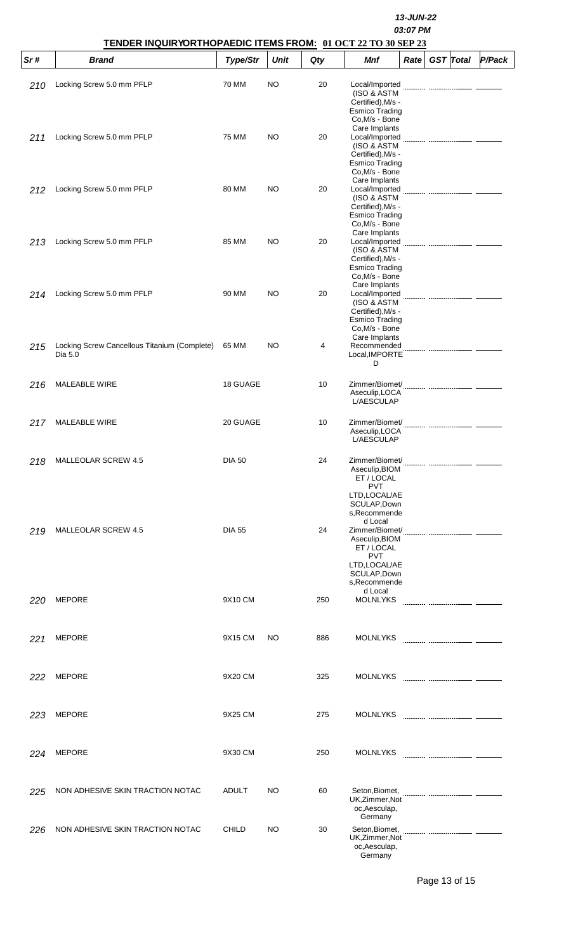|     | TENDER INQUIRYORTHOPAEDIC ITEMS FROM: 01 OCT 22 TO 30 SEP 23 |               |             |     | 13-JUN-22<br>03:07 PM                                                                                          |      |                  |        |  |  |
|-----|--------------------------------------------------------------|---------------|-------------|-----|----------------------------------------------------------------------------------------------------------------|------|------------------|--------|--|--|
| Sr# | <b>Brand</b>                                                 | Type/Str      | <b>Unit</b> | Qty | <b>Mnf</b>                                                                                                     | Rate | <b>GST</b> Total | P/Pack |  |  |
| 210 | Locking Screw 5.0 mm PFLP                                    | 70 MM         | NO          | 20  | Local/Imported<br>(ISO & ASTM<br>Certified), M/s -<br><b>Esmico Trading</b>                                    |      |                  |        |  |  |
| 211 | Locking Screw 5.0 mm PFLP                                    | 75 MM         | NO          | 20  | Co, M/s - Bone<br>Care Implants<br>Local/Imported<br>(ISO & ASTM<br>Certified), M/s -<br><b>Esmico Trading</b> |      |                  |        |  |  |
| 212 | Locking Screw 5.0 mm PFLP                                    | 80 MM         | NO          | 20  | Co, M/s - Bone<br>Care Implants<br>Local/Imported<br>(ISO & ASTM<br>Certified), M/s -<br><b>Esmico Trading</b> |      |                  |        |  |  |
| 213 | Locking Screw 5.0 mm PFLP                                    | 85 MM         | NO          | 20  | Co, M/s - Bone<br>Care Implants<br>Local/Imported<br>(ISO & ASTM<br>Certified), M/s -<br><b>Esmico Trading</b> |      |                  |        |  |  |
| 214 | Locking Screw 5.0 mm PFLP                                    | 90 MM         | <b>NO</b>   | 20  | Co, M/s - Bone<br>Care Implants<br>Local/Imported<br>(ISO & ASTM<br>Certified), M/s -<br><b>Esmico Trading</b> |      |                  |        |  |  |
| 215 | Locking Screw Cancellous Titanium (Complete)<br>Dia 5.0      | 65 MM         | <b>NO</b>   | 4   | Co, M/s - Bone<br>Care Implants<br>Recommended<br>Local, IMPORTE<br>D                                          |      |                  |        |  |  |
| 216 | <b>MALEABLE WIRE</b>                                         | 18 GUAGE      |             | 10  | Zimmer/Biomet/<br>Aseculip, LOCA<br><b>L/AESCULAP</b>                                                          |      |                  |        |  |  |
| 217 | MALEABLE WIRE                                                | 20 GUAGE      |             | 10  | Zimmer/Biomet/<br>Aseculip, LOCA<br>L/AESCULAP                                                                 |      |                  |        |  |  |
| 218 | <b>MALLEOLAR SCREW 4.5</b>                                   | <b>DIA 50</b> |             | 24  | Zimmer/Biomet/<br>Aseculip, BIOM<br>ET / LOCAL<br><b>PVT</b><br>LTD, LOCAL/AE<br>SCULAP, Down<br>s, Recommende |      |                  |        |  |  |
| 219 | <b>MALLEOLAR SCREW 4.5</b>                                   | <b>DIA 55</b> |             | 24  | d Local<br>Zimmer/Biomet/<br>Aseculip, BIOM<br>ET / LOCAL<br><b>PVT</b><br>LTD, LOCAL/AE<br>SCULAP, Down       |      |                  |        |  |  |
| 220 | <b>MEPORE</b>                                                | 9X10 CM       |             | 250 | s, Recommende<br>d Local<br><b>MOLNLYKS</b>                                                                    |      |                  |        |  |  |
| 221 | <b>MEPORE</b>                                                | 9X15 CM       | NO          | 886 | <b>MOLNLYKS</b>                                                                                                |      |                  |        |  |  |
| 222 | <b>MEPORE</b>                                                | 9X20 CM       |             | 325 | MOLNLYKS                                                                                                       |      |                  |        |  |  |
| 223 | <b>MEPORE</b>                                                | 9X25 CM       |             | 275 | <b>MOLNLYKS</b>                                                                                                |      |                  |        |  |  |
| 224 | <b>MEPORE</b>                                                | 9X30 CM       |             | 250 | <b>MOLNLYKS</b>                                                                                                |      |                  |        |  |  |
| 225 | NON ADHESIVE SKIN TRACTION NOTAC                             | ADULT         | NO          | 60  | Seton, Biomet,<br>UK, Zimmer, Not<br>oc, Aesculap,                                                             |      |                  |        |  |  |
| 226 | NON ADHESIVE SKIN TRACTION NOTAC                             | <b>CHILD</b>  | NO          | 30  | Germany<br>Seton, Biomet,<br>UK, Zimmer, Not<br>oc, Aesculap,<br>Germany                                       |      |                  |        |  |  |

Page 13 of 15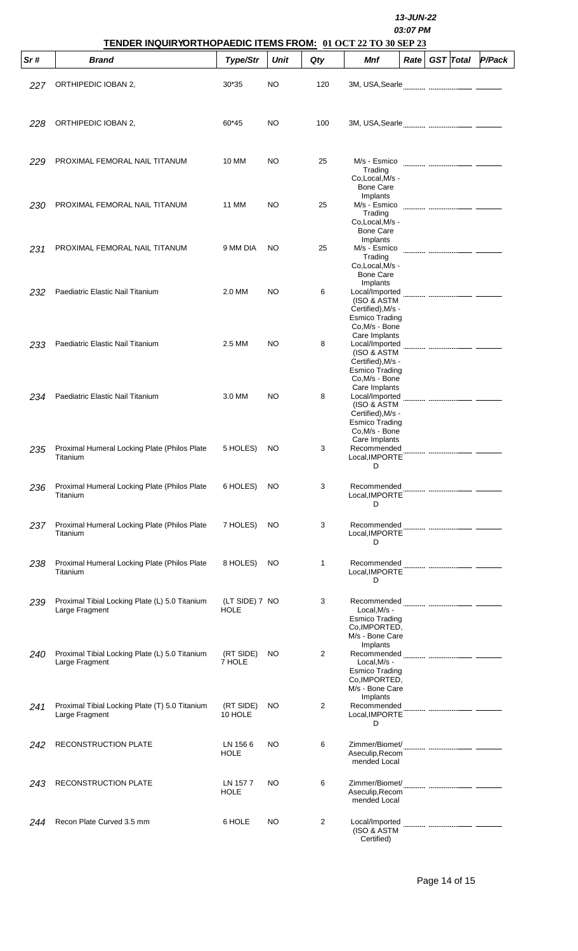|     | TENDER INQUIRYORTHOPAEDIC ITEMS FROM: 01 OCT 22 TO 30 SEP 23     |                               |             |     | 13-JUN-22<br>03:07 PM                                                                                   |      |  |                  |               |  |
|-----|------------------------------------------------------------------|-------------------------------|-------------|-----|---------------------------------------------------------------------------------------------------------|------|--|------------------|---------------|--|
| Sr# | <b>Brand</b>                                                     | Type/Str                      | <b>Unit</b> | Qty | Mnf                                                                                                     | Rate |  | <b>GST</b> Total | <b>P/Pack</b> |  |
| 227 | ORTHIPEDIC IOBAN 2,                                              | 30*35                         | NO          | 120 | 3M, USA, Searle                                                                                         |      |  |                  |               |  |
| 228 | ORTHIPEDIC IOBAN 2,                                              | 60*45                         | NO          | 100 |                                                                                                         |      |  |                  |               |  |
| 229 | PROXIMAL FEMORAL NAIL TITANUM                                    | <b>10 MM</b>                  | NO          | 25  | M/s - Esmico<br>Trading<br>Co,Local, M/s -<br><b>Bone Care</b>                                          |      |  |                  |               |  |
| 230 | PROXIMAL FEMORAL NAIL TITANUM                                    | 11 MM                         | <b>NO</b>   | 25  | Implants<br>M/s - Esmico<br>Trading<br>Co,Local, M/s -<br><b>Bone Care</b>                              |      |  |                  |               |  |
| 231 | PROXIMAL FEMORAL NAIL TITANUM                                    | 9 MM DIA                      | NO.         | 25  | Implants<br>M/s - Esmico<br>Trading<br>Co,Local, M/s -<br><b>Bone Care</b>                              |      |  |                  |               |  |
| 232 | Paediatric Elastic Nail Titanium                                 | 2.0 MM                        | NO          | 6   | Implants<br>Local/Imported<br>(ISO & ASTM<br>Certified), M/s -<br>Esmico Trading<br>Co, M/s - Bone      |      |  |                  |               |  |
| 233 | Paediatric Elastic Nail Titanium                                 | 2.5 MM                        | NO          | 8   | Care Implants<br>Local/Imported<br>(ISO & ASTM<br>Certified), M/s -<br>Esmico Trading<br>Co, M/s - Bone |      |  |                  |               |  |
| 234 | Paediatric Elastic Nail Titanium                                 | 3.0 MM                        | NO          | 8   | Care Implants<br>Local/Imported<br>(ISO & ASTM<br>Certified), M/s -<br>Esmico Trading<br>Co, M/s - Bone |      |  |                  |               |  |
| 235 | Proximal Humeral Locking Plate (Philos Plate<br>Titanium         | 5 HOLES)                      | NO.         | 3   | Care Implants<br>Recommended<br>Local, IMPORTE<br>D                                                     |      |  |                  |               |  |
| 236 | Proximal Humeral Locking Plate (Philos Plate<br>Titanium         | 6 HOLES)                      | NO.         | 3   | Recommended<br>Local, IMPORTE<br>D                                                                      |      |  |                  |               |  |
| 237 | Proximal Humeral Locking Plate (Philos Plate<br>Titanium         | 7 HOLES)                      | NO.         | 3   | Recommended<br>Local.IMPORTE<br>D                                                                       |      |  |                  |               |  |
| 238 | Proximal Humeral Locking Plate (Philos Plate<br>Titanium         | 8 HOLES)                      | NO          | 1   | Recommended<br>Local, IMPORTE<br>D                                                                      |      |  |                  |               |  |
| 239 | Proximal Tibial Locking Plate (L) 5.0 Titanium<br>Large Fragment | (LT SIDE) 7 NO<br><b>HOLE</b> |             | 3   | Local, M/s -<br><b>Esmico Trading</b><br>Co, IMPORTED,<br>M/s - Bone Care                               |      |  |                  |               |  |
| 240 | Proximal Tibial Locking Plate (L) 5.0 Titanium<br>Large Fragment | (RT SIDE)<br>7 HOLE           | NO.         | 2   | Implants<br>Local, M/s -<br><b>Esmico Trading</b><br>Co.IMPORTED,<br>M/s - Bone Care                    |      |  |                  |               |  |
| 241 | Proximal Tibial Locking Plate (T) 5.0 Titanium<br>Large Fragment | (RT SIDE)<br>10 HOLE          | NO.         | 2   | Implants<br>Recommended<br>Local, IMPORTE<br>D                                                          |      |  |                  |               |  |
| 242 | RECONSTRUCTION PLATE                                             | LN 1566<br><b>HOLE</b>        | <b>NO</b>   | 6   | Aseculip, Recom<br>mended Local                                                                         |      |  |                  |               |  |
| 243 | RECONSTRUCTION PLATE                                             | LN 1577<br><b>HOLE</b>        | NO.         | 6   | Aseculip, Recom<br>mended Local                                                                         |      |  |                  |               |  |
| 244 | Recon Plate Curved 3.5 mm                                        | 6 HOLE                        | NO          | 2   | Local/Imported<br>(ISO & ASTM<br>Certified)                                                             |      |  |                  |               |  |